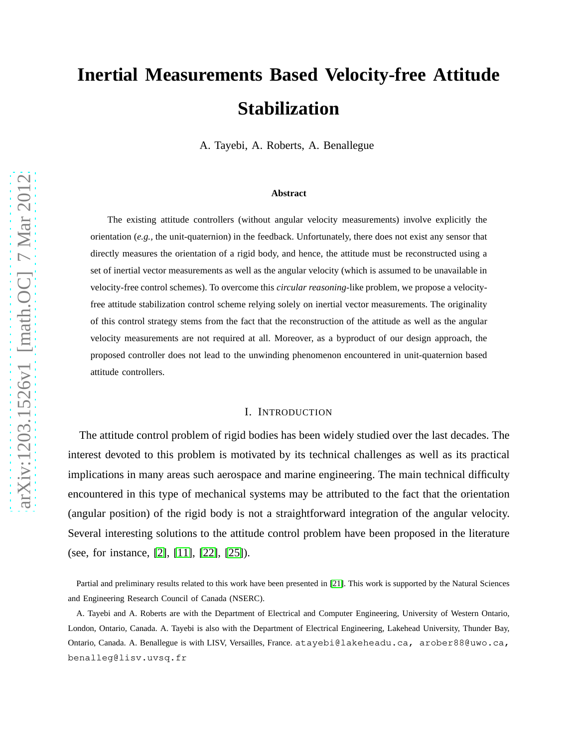# **Inertial Measurements Based Velocity-free Attitude Stabilization**

A. Tayebi, A. Roberts, A. Benallegue

#### **Abstract**

The existing attitude controllers (without angular velocity measurements) involve explicitly the orientation (*e.g.,* the unit-quaternion) in the feedback. Unfortunately, there does not exist any sensor that directly measures the orientation of a rigid body, and hence, the attitude must be reconstructed using a set of inertial vector measurements as well as the angular velocity (which is assumed to be unavailable in velocity-free control schemes). To overcome this *circular reasoning*-like problem, we propose a velocityfree attitude stabilization control scheme relying solely on inertial vector measurements. The originality of this control strategy stems from the fact that the reconstruction of the attitude as well as the angular velocity measurements are not required at all. Moreover, as a byproduct of our design approach, the proposed controller does not lead to the unwinding phenomenon encountered in unit-quaternion based attitude controllers.

#### I. INTRODUCTION

The attitude control problem of rigid bodies has been widely studied over the last decades. The interest devoted to this problem is motivated by its technical challenges as well as its practical implications in many areas such aerospace and marine engineering. The main technical difficulty encountered in this type of mechanical systems may be attributed to the fact that the orientation (angular position) of the rigid body is not a straightforward integration of the angular velocity. Several interesting solutions to the attitude control problem have been proposed in the literature (see, for instance, [\[2\]](#page-14-0), [\[11\]](#page-14-1), [\[22\]](#page-15-0), [\[25\]](#page-15-1)).

Partial and preliminary results related to this work have been presented in [\[21\]](#page-15-2). This work is supported by the Natural Sciences and Engineering Research Council of Canada (NSERC).

A. Tayebi and A. Roberts are with the Department of Electrical and Computer Engineering, University of Western Ontario, London, Ontario, Canada. A. Tayebi is also with the Department of Electrical Engineering, Lakehead University, Thunder Bay, Ontario, Canada. A. Benallegue is with LISV, Versailles, France. atayebi@lakeheadu.ca, arober88@uwo.ca, benalleg@lisv.uvsq.fr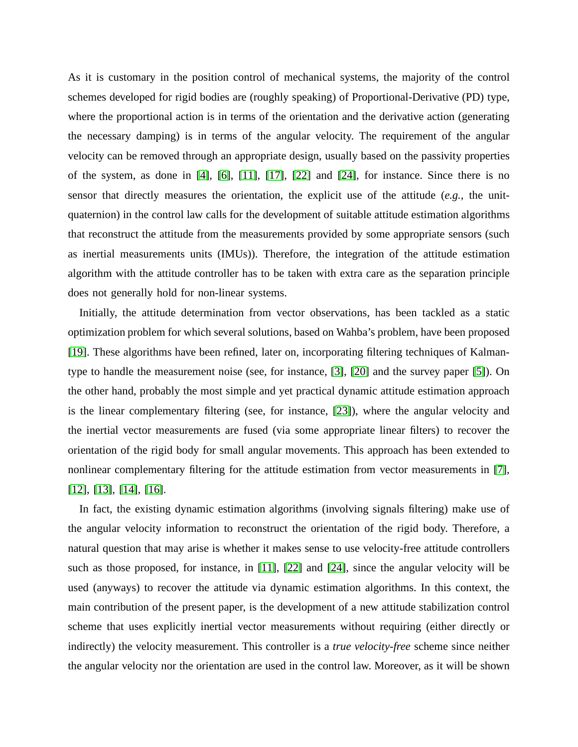As it is customary in the position control of mechanical systems, the majority of the control schemes developed for rigid bodies are (roughly speaking) of Proportional-Derivative (PD) type, where the proportional action is in terms of the orientation and the derivative action (generating the necessary damping) is in terms of the angular velocity. The requirement of the angular velocity can be removed through an appropriate design, usually based on the passivity properties of the system, as done in  $[4]$ ,  $[6]$ ,  $[11]$ ,  $[17]$ ,  $[22]$  and  $[24]$ , for instance. Since there is no sensor that directly measures the orientation, the explicit use of the attitude (*e.g.,* the unitquaternion) in the control law calls for the development of suitable attitude estimation algorithms that reconstruct the attitude from the measurements provided by some appropriate sensors (such as inertial measurements units (IMUs)). Therefore, the integration of the attitude estimation algorithm with the attitude controller has to be taken with extra care as the separation principle does not generally hold for non-linear systems.

Initially, the attitude determination from vector observations, has been tackled as a static optimization problem for which several solutions, based on Wahba's problem, have been proposed [\[19\]](#page-15-5). These algorithms have been refined, later on, incorporating filtering techniques of Kalmantype to handle the measurement noise (see, for instance, [\[3\]](#page-14-4), [\[20\]](#page-15-6) and the survey paper [\[5\]](#page-14-5)). On the other hand, probably the most simple and yet practical dynamic attitude estimation approach is the linear complementary filtering (see, for instance, [\[23\]](#page-15-7)), where the angular velocity and the inertial vector measurements are fused (via some appropriate linear filters) to recover the orientation of the rigid body for small angular movements. This approach has been extended to nonlinear complementary filtering for the attitude estimation from vector measurements in [\[7\]](#page-14-6), [\[12\]](#page-15-8), [\[13\]](#page-15-9), [\[14\]](#page-15-10), [\[16\]](#page-15-11).

In fact, the existing dynamic estimation algorithms (involving signals filtering) make use of the angular velocity information to reconstruct the orientation of the rigid body. Therefore, a natural question that may arise is whether it makes sense to use velocity-free attitude controllers such as those proposed, for instance, in [\[11\]](#page-14-1), [\[22\]](#page-15-0) and [\[24\]](#page-15-4), since the angular velocity will be used (anyways) to recover the attitude via dynamic estimation algorithms. In this context, the main contribution of the present paper, is the development of a new attitude stabilization control scheme that uses explicitly inertial vector measurements without requiring (either directly or indirectly) the velocity measurement. This controller is a *true velocity-free* scheme since neither the angular velocity nor the orientation are used in the control law. Moreover, as it will be shown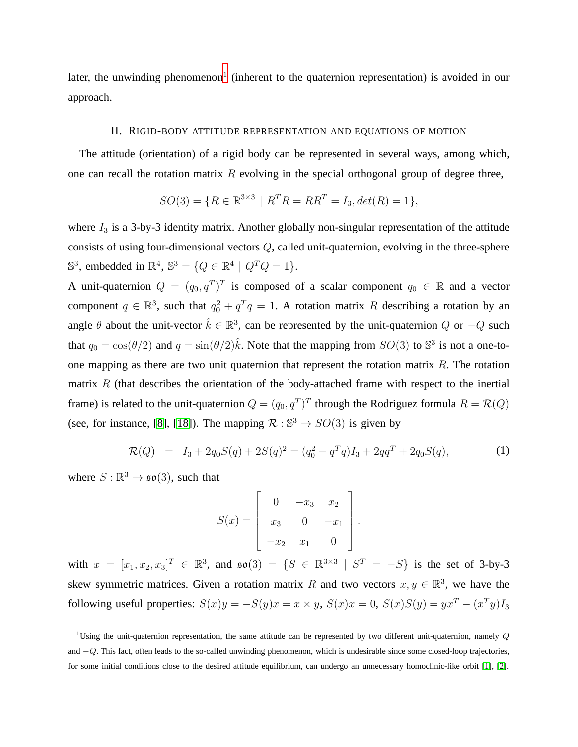later, the unwinding phenomenon<sup>[1](#page-2-0)</sup> (inherent to the quaternion representation) is avoided in our approach.

## II. RIGID-BODY ATTITUDE REPRESENTATION AND EQUATIONS OF MOTION

The attitude (orientation) of a rigid body can be represented in several ways, among which, one can recall the rotation matrix  $R$  evolving in the special orthogonal group of degree three,

$$
SO(3) = \{ R \in \mathbb{R}^{3 \times 3} \mid R^T R = R R^T = I_3, \det(R) = 1 \},\
$$

where  $I_3$  is a 3-by-3 identity matrix. Another globally non-singular representation of the attitude consists of using four-dimensional vectors Q, called unit-quaternion, evolving in the three-sphere  $\mathbb{S}^3$ , embedded in  $\mathbb{R}^4$ ,  $\mathbb{S}^3 = \{Q \in \mathbb{R}^4 \mid Q^T Q = 1\}.$ 

A unit-quaternion  $Q = (q_0, q^T)^T$  is composed of a scalar component  $q_0 \in \mathbb{R}$  and a vector component  $q \in \mathbb{R}^3$ , such that  $q_0^2 + q^T q = 1$ . A rotation matrix R describing a rotation by an angle  $\theta$  about the unit-vector  $\hat{k} \in \mathbb{R}^3$ , can be represented by the unit-quaternion  $Q$  or  $-Q$  such that  $q_0 = \cos(\theta/2)$  and  $q = \sin(\theta/2)\hat{k}$ . Note that the mapping from  $SO(3)$  to  $\mathbb{S}^3$  is not a one-toone mapping as there are two unit quaternion that represent the rotation matrix  $R$ . The rotation matrix  $R$  (that describes the orientation of the body-attached frame with respect to the inertial frame) is related to the unit-quaternion  $Q = (q_0, q^T)^T$  through the Rodriguez formula  $R = \mathcal{R}(Q)$ (see, for instance, [\[8\]](#page-14-7), [\[18\]](#page-15-12)). The mapping  $\mathcal{R} : \mathbb{S}^3 \to SO(3)$  is given by

<span id="page-2-1"></span>
$$
\mathcal{R}(Q) = I_3 + 2q_0S(q) + 2S(q)^2 = (q_0^2 - q^Tq)I_3 + 2qq^T + 2q_0S(q),
$$
\n(1)

where  $S : \mathbb{R}^3 \to \mathfrak{so}(3)$ , such that

$$
S(x) = \begin{bmatrix} 0 & -x_3 & x_2 \\ x_3 & 0 & -x_1 \\ -x_2 & x_1 & 0 \end{bmatrix}.
$$

with  $x = [x_1, x_2, x_3]^T \in \mathbb{R}^3$ , and  $\mathfrak{so}(3) = \{S \in \mathbb{R}^{3 \times 3} \mid S^T = -S\}$  is the set of 3-by-3 skew symmetric matrices. Given a rotation matrix R and two vectors  $x, y \in \mathbb{R}^3$ , we have the following useful properties:  $S(x)y = -S(y)x = x \times y$ ,  $S(x)x = 0$ ,  $S(x)S(y) = yx^{T} - (x^{T}y)I_{3}$ 

<span id="page-2-0"></span><sup>&</sup>lt;sup>1</sup>Using the unit-quaternion representation, the same attitude can be represented by two different unit-quaternion, namely  $Q$ and −Q. This fact, often leads to the so-called unwinding phenomenon, which is undesirable since some closed-loop trajectories, for some initial conditions close to the desired attitude equilibrium, can undergo an unnecessary homoclinic-like orbit [\[1\]](#page-14-8), [\[2\]](#page-14-0).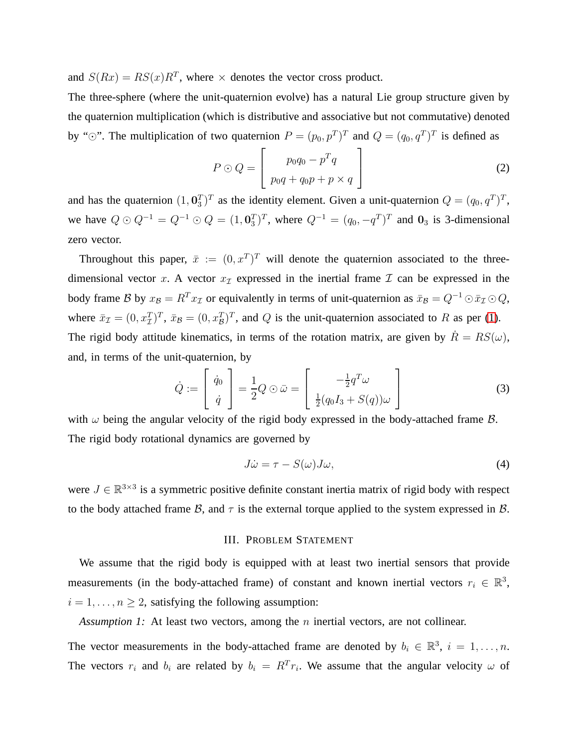and  $S(Rx) = RS(x)R^T$ , where  $\times$  denotes the vector cross product.

The three-sphere (where the unit-quaternion evolve) has a natural Lie group structure given by the quaternion multiplication (which is distributive and associative but not commutative) denoted by " $\odot$ ". The multiplication of two quaternion  $P = (p_0, p^T)^T$  and  $Q = (q_0, q^T)^T$  is defined as

$$
P \odot Q = \left[ \begin{array}{c} p_0 q_0 - p^T q \\ p_0 q + q_0 p + p \times q \end{array} \right] \tag{2}
$$

and has the quaternion  $(1, 0<sub>3</sub><sup>T</sup>)<sup>T</sup>$  as the identity element. Given a unit-quaternion  $Q = (q<sub>0</sub>, q<sup>T</sup>)<sup>T</sup>$ , we have  $Q \odot Q^{-1} = Q^{-1} \odot Q = (1, 0^T_3)^T$ , where  $Q^{-1} = (q_0, -q^T)^T$  and  $0_3$  is 3-dimensional zero vector.

Throughout this paper,  $\bar{x} := (0, x^T)^T$  will denote the quaternion associated to the threedimensional vector x. A vector  $x<sub>T</sub>$  expressed in the inertial frame  $\mathcal I$  can be expressed in the body frame B by  $x_B = R^T x_I$  or equivalently in terms of unit-quaternion as  $\bar{x}_B = Q^{-1} \odot \bar{x}_I \odot Q$ , where  $\bar{x}_\mathcal{I} = (0, x_\mathcal{I}^T)^T$ ,  $\bar{x}_\mathcal{B} = (0, x_\mathcal{B}^T)^T$ , and  $Q$  is the unit-quaternion associated to R as per [\(1\)](#page-2-1). The rigid body attitude kinematics, in terms of the rotation matrix, are given by  $\dot{R} = RS(\omega)$ , and, in terms of the unit-quaternion, by

<span id="page-3-1"></span>
$$
\dot{Q} := \begin{bmatrix} \dot{q}_0 \\ \dot{q} \end{bmatrix} = \frac{1}{2} Q \odot \bar{\omega} = \begin{bmatrix} -\frac{1}{2} q^T \omega \\ \frac{1}{2} (q_0 I_3 + S(q)) \omega \end{bmatrix}
$$
(3)

with  $\omega$  being the angular velocity of the rigid body expressed in the body-attached frame  $\beta$ . The rigid body rotational dynamics are governed by

<span id="page-3-2"></span>
$$
J\dot{\omega} = \tau - S(\omega)J\omega,\tag{4}
$$

were  $J \in \mathbb{R}^{3 \times 3}$  is a symmetric positive definite constant inertia matrix of rigid body with respect to the body attached frame B, and  $\tau$  is the external torque applied to the system expressed in B.

## <span id="page-3-0"></span>III. PROBLEM STATEMENT

We assume that the rigid body is equipped with at least two inertial sensors that provide measurements (in the body-attached frame) of constant and known inertial vectors  $r_i \in \mathbb{R}^3$ ,  $i = 1, \ldots, n \geq 2$ , satisfying the following assumption:

*Assumption 1:* At least two vectors, among the *n* inertial vectors, are not collinear.

The vector measurements in the body-attached frame are denoted by  $b_i \in \mathbb{R}^3$ ,  $i = 1, \ldots, n$ . The vectors  $r_i$  and  $b_i$  are related by  $b_i = R^T r_i$ . We assume that the angular velocity  $\omega$  of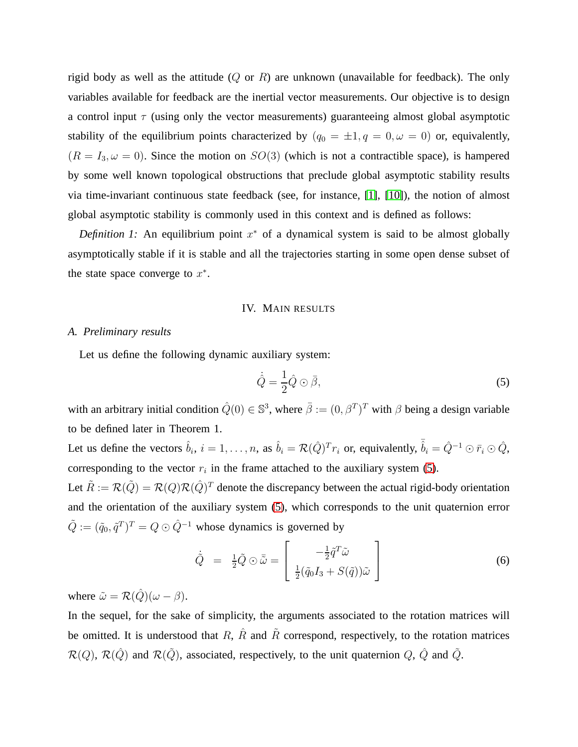rigid body as well as the attitude  $(Q \text{ or } R)$  are unknown (unavailable for feedback). The only variables available for feedback are the inertial vector measurements. Our objective is to design a control input  $\tau$  (using only the vector measurements) guaranteeing almost global asymptotic stability of the equilibrium points characterized by  $(q_0 = \pm 1, q = 0, \omega = 0)$  or, equivalently,  $(R = I_3, \omega = 0)$ . Since the motion on  $SO(3)$  (which is not a contractible space), is hampered by some well known topological obstructions that preclude global asymptotic stability results via time-invariant continuous state feedback (see, for instance, [\[1\]](#page-14-8), [\[10\]](#page-14-9)), the notion of almost global asymptotic stability is commonly used in this context and is defined as follows:

*Definition 1:* An equilibrium point  $x^*$  of a dynamical system is said to be almost globally asymptotically stable if it is stable and all the trajectories starting in some open dense subset of the state space converge to  $x^*$ .

### IV. MAIN RESULTS

## *A. Preliminary results*

Let us define the following dynamic auxiliary system:

<span id="page-4-0"></span>
$$
\dot{\hat{Q}} = \frac{1}{2}\hat{Q}\odot\bar{\beta},\tag{5}
$$

with an arbitrary initial condition  $\hat{Q}(0) \in \mathbb{S}^3$ , where  $\bar{\beta} := (0, \beta^T)^T$  with  $\beta$  being a design variable to be defined later in Theorem 1.

Let us define the vectors  $\hat{b}_i$ ,  $i = 1, \ldots, n$ , as  $\hat{b}_i = \mathcal{R}(\hat{Q})^T r_i$  or, equivalently,  $\bar{\hat{b}}_i = \hat{Q}^{-1} \odot \bar{r}_i \odot \hat{Q}$ , corresponding to the vector  $r_i$  in the frame attached to the auxiliary system [\(5\)](#page-4-0). Let  $\tilde{R} := \mathcal{R}(\tilde{Q}) = \mathcal{R}(Q)\mathcal{R}(\hat{Q})^T$  denote the discrepancy between the actual rigid-body orientation and the orientation of the auxiliary system [\(5\)](#page-4-0), which corresponds to the unit quaternion error

 $\tilde{Q} := (\tilde{q}_0, \tilde{q}^T)^T = Q \odot \hat{Q}^{-1}$  whose dynamics is governed by

<span id="page-4-1"></span>
$$
\dot{\tilde{Q}} = \frac{1}{2}\tilde{Q} \odot \bar{\tilde{\omega}} = \begin{bmatrix} -\frac{1}{2}\tilde{q}^T\tilde{\omega} \\ \frac{1}{2}(\tilde{q}_0I_3 + S(\tilde{q}))\tilde{\omega} \end{bmatrix}
$$
(6)

where  $\tilde{\omega} = \mathcal{R}(\hat{Q})(\omega - \beta)$ .

In the sequel, for the sake of simplicity, the arguments associated to the rotation matrices will be omitted. It is understood that R,  $\hat{R}$  and  $\hat{R}$  correspond, respectively, to the rotation matrices  $\mathcal{R}(Q)$ ,  $\mathcal{R}(\hat{Q})$  and  $\mathcal{R}(\tilde{Q})$ , associated, respectively, to the unit quaternion  $Q$ ,  $\hat{Q}$  and  $\tilde{Q}$ .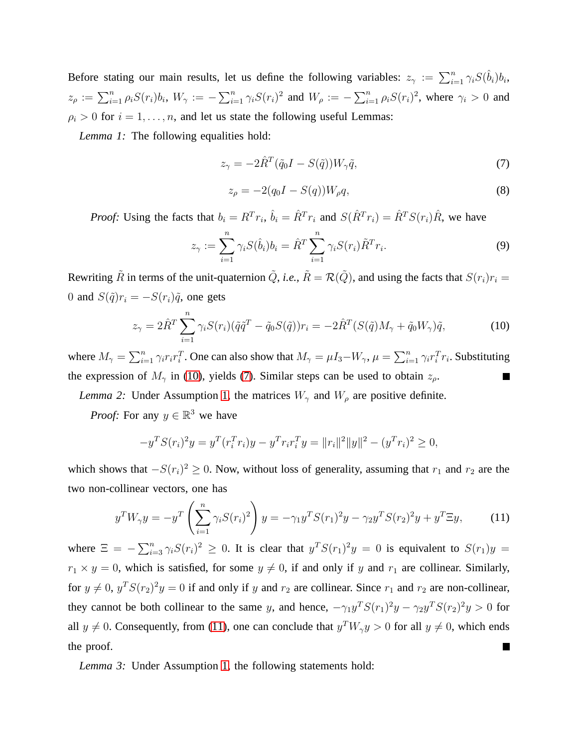Before stating our main results, let us define the following variables:  $z_{\gamma} := \sum_{i=1}^{n} \gamma_i S(\hat{b}_i) b_i$ ,  $z_\rho := \sum_{i=1}^n \rho_i S(r_i) b_i$ ,  $W_\gamma := -\sum_{i=1}^n \gamma_i S(r_i)^2$  and  $W_\rho := -\sum_{i=1}^n \rho_i S(r_i)^2$ , where  $\gamma_i > 0$  and  $\rho_i > 0$  for  $i = 1, \ldots, n$ , and let us state the following useful Lemmas:

*Lemma 1:* The following equalities hold:

<span id="page-5-1"></span>
$$
z_{\gamma} = -2\hat{R}^{T}(\tilde{q}_{0}I - S(\tilde{q}))W_{\gamma}\tilde{q},\tag{7}
$$

$$
z_{\rho} = -2(q_0 I - S(q))W_{\rho}q,
$$
\n(8)

*Proof:* Using the facts that  $b_i = R^T r_i$ ,  $\hat{b}_i = \hat{R}^T r_i$  and  $S(\hat{R}^T r_i) = \hat{R}^T S(r_i)\hat{R}$ , we have

$$
z_{\gamma} := \sum_{i=1}^{n} \gamma_i S(\hat{b}_i) b_i = \hat{R}^T \sum_{i=1}^{n} \gamma_i S(r_i) \tilde{R}^T r_i.
$$
 (9)

Rewriting  $\tilde{R}$  in terms of the unit-quaternion  $\tilde{Q}$ , *i.e.*,  $\tilde{R} = \mathcal{R}(\tilde{Q})$ , and using the facts that  $S(r_i)r_i =$ 0 and  $S(\tilde{q})r_i = -S(r_i)\tilde{q}$ , one gets

<span id="page-5-0"></span>
$$
z_{\gamma} = 2\hat{R}^T \sum_{i=1}^n \gamma_i S(r_i) (\tilde{q}\tilde{q}^T - \tilde{q}_0 S(\tilde{q})) r_i = -2\hat{R}^T (S(\tilde{q}) M_{\gamma} + \tilde{q}_0 W_{\gamma}) \tilde{q}, \qquad (10)
$$

where  $M_{\gamma} = \sum_{i=1}^{n} \gamma_i r_i r_i^T$ . One can also show that  $M_{\gamma} = \mu I_3 - W_{\gamma}$ ,  $\mu = \sum_{i=1}^{n} \gamma_i r_i^T r_i$ . Substituting the expression of  $M_{\gamma}$  in [\(10\)](#page-5-0), yields [\(7\)](#page-5-1). Similar steps can be used to obtain  $z_{\rho}$ .

*Lemma 2:* Under Assumption [1,](#page-3-0) the matrices  $W_{\gamma}$  and  $W_{\rho}$  are positive definite.

*Proof:* For any  $y \in \mathbb{R}^3$  we have

$$
-y^T S(r_i)^2 y = y^T(r_i^T r_i) y - y^T r_i r_i^T y = ||r_i||^2 ||y||^2 - (y^T r_i)^2 \ge 0,
$$

which shows that  $-S(r_i)^2 \geq 0$ . Now, without loss of generality, assuming that  $r_1$  and  $r_2$  are the two non-collinear vectors, one has

<span id="page-5-2"></span>
$$
y^T W_\gamma y = -y^T \left( \sum_{i=1}^n \gamma_i S(r_i)^2 \right) y = -\gamma_1 y^T S(r_1)^2 y - \gamma_2 y^T S(r_2)^2 y + y^T \Xi y,\tag{11}
$$

where  $\Xi = -\sum_{i=3}^{n} \gamma_i S(r_i)^2 \geq 0$ . It is clear that  $y^T S(r_1)^2 y = 0$  is equivalent to  $S(r_1) y =$  $r_1 \times y = 0$ , which is satisfied, for some  $y \neq 0$ , if and only if y and  $r_1$  are collinear. Similarly, for  $y \neq 0$ ,  $y^T S(r_2)^2 y = 0$  if and only if y and  $r_2$  are collinear. Since  $r_1$  and  $r_2$  are non-collinear, they cannot be both collinear to the same y, and hence,  $-\gamma_1 y^T S(r_1)^2 y - \gamma_2 y^T S(r_2)^2 y > 0$  for all  $y \neq 0$ . Consequently, from [\(11\)](#page-5-2), one can conclude that  $y^T W_\gamma y > 0$  for all  $y \neq 0$ , which ends the proof. П

*Lemma 3:* Under Assumption [1,](#page-3-0) the following statements hold: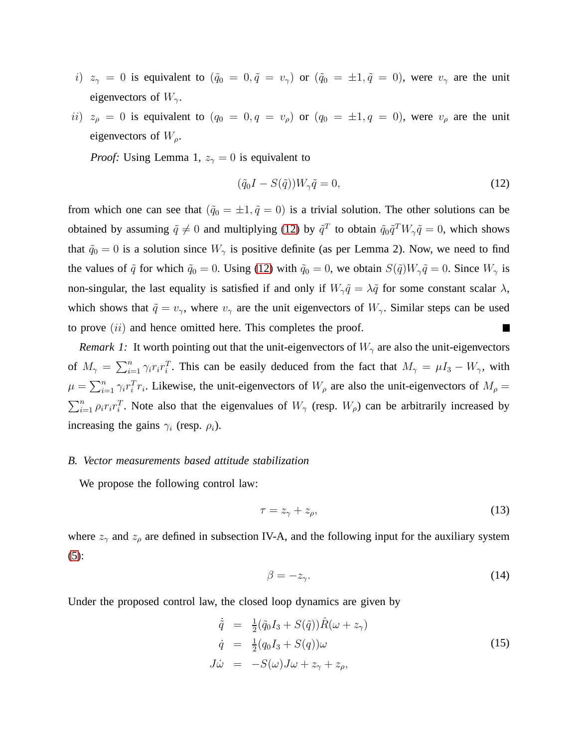- i)  $z_{\gamma} = 0$  is equivalent to  $(\tilde{q}_0 = 0, \tilde{q} = v_{\gamma})$  or  $(\tilde{q}_0 = \pm 1, \tilde{q} = 0)$ , were  $v_{\gamma}$  are the unit eigenvectors of  $W_{\gamma}$ .
- ii)  $z_\rho = 0$  is equivalent to  $(q_0 = 0, q = v_\rho)$  or  $(q_0 = \pm 1, q = 0)$ , were  $v_\rho$  are the unit eigenvectors of  $W_{\rho}$ .

*Proof:* Using Lemma 1,  $z_{\gamma} = 0$  is equivalent to

<span id="page-6-0"></span>
$$
(\tilde{q}_0 I - S(\tilde{q})) W_{\gamma} \tilde{q} = 0, \qquad (12)
$$

from which one can see that  $(\tilde{q}_0 = \pm 1, \tilde{q} = 0)$  is a trivial solution. The other solutions can be obtained by assuming  $\tilde{q} \neq 0$  and multiplying [\(12\)](#page-6-0) by  $\tilde{q}^T$  to obtain  $\tilde{q}_0\tilde{q}^TW_\gamma\tilde{q} = 0$ , which shows that  $\tilde{q}_0 = 0$  is a solution since  $W_\gamma$  is positive definite (as per Lemma 2). Now, we need to find the values of  $\tilde{q}$  for which  $\tilde{q}_0 = 0$ . Using [\(12\)](#page-6-0) with  $\tilde{q}_0 = 0$ , we obtain  $S(\tilde{q})W_\gamma \tilde{q} = 0$ . Since  $W_\gamma$  is non-singular, the last equality is satisfied if and only if  $W_\gamma \tilde{q} = \lambda \tilde{q}$  for some constant scalar  $\lambda$ , which shows that  $\tilde{q} = v_{\gamma}$ , where  $v_{\gamma}$  are the unit eigenvectors of  $W_{\gamma}$ . Similar steps can be used to prove  $(ii)$  and hence omitted here. This completes the proof.  $\Box$ 

*Remark 1:* It worth pointing out that the unit-eigenvectors of  $W_{\gamma}$  are also the unit-eigenvectors of  $M_{\gamma} = \sum_{i=1}^{n} \gamma_i r_i r_i^T$ . This can be easily deduced from the fact that  $M_{\gamma} = \mu I_3 - W_{\gamma}$ , with  $\mu = \sum_{i=1}^n \gamma_i r_i^T r_i$ . Likewise, the unit-eigenvectors of  $W_\rho$  are also the unit-eigenvectors of  $M_\rho$  =  $\sum_{i=1}^n \rho_i r_i r_i^T$ . Note also that the eigenvalues of  $W_\gamma$  (resp.  $W_\rho$ ) can be arbitrarily increased by increasing the gains  $\gamma_i$  (resp.  $\rho_i$ ).

#### *B. Vector measurements based attitude stabilization*

We propose the following control law:

<span id="page-6-2"></span>
$$
\tau = z_{\gamma} + z_{\rho},\tag{13}
$$

where  $z_{\gamma}$  and  $z_{\rho}$  are defined in subsection IV-A, and the following input for the auxiliary system [\(5\)](#page-4-0):

<span id="page-6-3"></span>
$$
\beta = -z_{\gamma}.\tag{14}
$$

Under the proposed control law, the closed loop dynamics are given by

<span id="page-6-1"></span>
$$
\dot{\tilde{q}} = \frac{1}{2} (\tilde{q}_0 I_3 + S(\tilde{q})) \hat{R}(\omega + z_{\gamma})
$$
\n
$$
\dot{q} = \frac{1}{2} (q_0 I_3 + S(q)) \omega
$$
\n
$$
J\dot{\omega} = -S(\omega) J\omega + z_{\gamma} + z_{\rho},
$$
\n(15)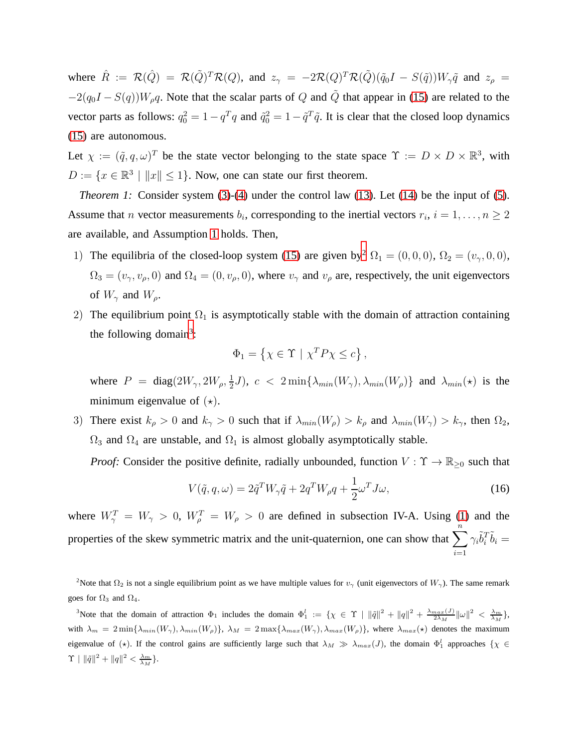where  $\hat{R} := \mathcal{R}(\hat{Q}) = \mathcal{R}(\tilde{Q})^T \mathcal{R}(Q)$ , and  $z_{\gamma} = -2\mathcal{R}(Q)^T \mathcal{R}(\tilde{Q}) (\tilde{q}_0 I - S(\tilde{q})) W_{\gamma} \tilde{q}$  and  $z_{\rho} =$  $-2(q_0I - S(q))W_\rho q$ . Note that the scalar parts of Q and  $\tilde{Q}$  that appear in [\(15\)](#page-6-1) are related to the vector parts as follows:  $q_0^2 = 1 - q^T q$  and  $\tilde{q}_0^2 = 1 - \tilde{q}^T \tilde{q}$ . It is clear that the closed loop dynamics [\(15\)](#page-6-1) are autonomous.

Let  $\chi := (\tilde{q}, q, \omega)^T$  be the state vector belonging to the state space  $\Upsilon := D \times D \times \mathbb{R}^3$ , with  $D := \{x \in \mathbb{R}^3 \mid ||x|| \le 1\}$ . Now, one can state our first theorem.

*Theorem 1:* Consider system [\(3\)](#page-3-1)-[\(4\)](#page-3-2) under the control law [\(13\)](#page-6-2). Let [\(14\)](#page-6-3) be the input of [\(5\)](#page-4-0). Assume that *n* vector measurements  $b_i$ , corresponding to the inertial vectors  $r_i$ ,  $i = 1, \ldots, n \ge 2$ are available, and Assumption [1](#page-3-0) holds. Then,

- 1) The equilibria of the closed-loop system [\(15\)](#page-6-1) are given by<sup>[2](#page-7-0)</sup>  $\Omega_1 = (0, 0, 0)$ ,  $\Omega_2 = (v_1, 0, 0)$ ,  $\Omega_3 = (v_\gamma, v_\rho, 0)$  and  $\Omega_4 = (0, v_\rho, 0)$ , where  $v_\gamma$  and  $v_\rho$  are, respectively, the unit eigenvectors of  $W_{\gamma}$  and  $W_{\rho}$ .
- 2) The equilibrium point  $\Omega_1$  is asymptotically stable with the domain of attraction containing the following domain<sup>[3](#page-7-1)</sup>:

$$
\Phi_1 = \left\{ \chi \in \Upsilon \mid \chi^T P \chi \le c \right\},\
$$

where  $P = \text{diag}(2W_{\gamma}, 2W_{\rho}, \frac{1}{2})$  $(\frac{1}{2}J)$ ,  $c < 2 \min{\{\lambda_{min}(W_{\gamma}), \lambda_{min}(W_{\rho})\}}$  and  $\lambda_{min}(\star)$  is the minimum eigenvalue of  $(\star)$ .

3) There exist  $k_{\rho} > 0$  and  $k_{\gamma} > 0$  such that if  $\lambda_{min}(W_{\rho}) > k_{\rho}$  and  $\lambda_{min}(W_{\gamma}) > k_{\gamma}$ , then  $\Omega_2$ ,  $\Omega_3$  and  $\Omega_4$  are unstable, and  $\Omega_1$  is almost globally asymptotically stable.

*Proof:* Consider the positive definite, radially unbounded, function  $V : \Upsilon \to \mathbb{R}_{\geq 0}$  such that

<span id="page-7-2"></span>
$$
V(\tilde{q}, q, \omega) = 2\tilde{q}^T W_\gamma \tilde{q} + 2q^T W_\rho q + \frac{1}{2} \omega^T J \omega,
$$
\n(16)

where  $W_{\gamma}^T = W_{\gamma} > 0$ ,  $W_{\rho}^T = W_{\rho} > 0$  are defined in subsection IV-A. Using [\(1\)](#page-2-1) and the properties of the skew symmetric matrix and the unit-quaternion, one can show that  $\sum_{i=1}^{n} \gamma_i \tilde{b}_i^T \tilde{b}_i =$  $i=1$ 

<span id="page-7-1"></span><sup>3</sup>Note that the domain of attraction  $\Phi_1$  includes the domain  $\Phi_1^l := \{ \chi \in \Upsilon \mid ||\tilde{q}||^2 + ||q||^2 + \frac{\lambda_{max}(J)}{2\lambda_M} ||\omega||^2 < \frac{\lambda_m}{\lambda_M} \}$ , with  $\lambda_m = 2 \min{\{\lambda_{min}(W_{\gamma}), \lambda_{min}(W_{\rho})\}}$ ,  $\lambda_M = 2 \max{\{\lambda_{max}(W_{\gamma}), \lambda_{max}(W_{\rho})\}}$ , where  $\lambda_{max}(\star)$  denotes the maximum eigenvalue of ( $\star$ ). If the control gains are sufficiently large such that  $\lambda_M \gg \lambda_{max}(J)$ , the domain  $\Phi_1^l$  approaches  $\{\chi \in$  $\Upsilon \mid \| \tilde{q} \|^2 + \| q \|^2 < \frac{\lambda_m}{\lambda_M} \}.$ 

<span id="page-7-0"></span><sup>&</sup>lt;sup>2</sup>Note that  $\Omega_2$  is not a single equilibrium point as we have multiple values for  $v_\gamma$  (unit eigenvectors of  $W_\gamma$ ). The same remark goes for  $\Omega_3$  and  $\Omega_4$ .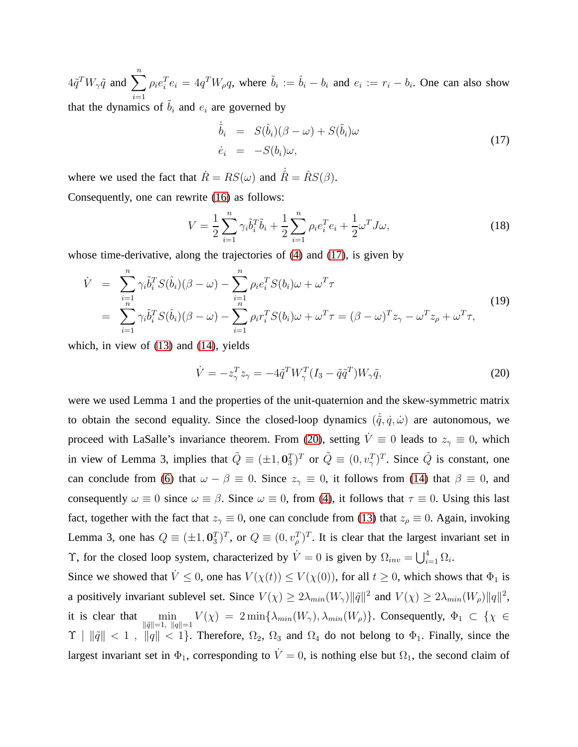$4\tilde{q}^T W_{\gamma}\tilde{q}$  and  $\sum_{n=1}^{\infty}$  $i=1$  $\rho_i e_i^T e_i = 4q^T W_\rho q$ , where  $\tilde{b}_i := \hat{b}_i - b_i$  and  $e_i := r_i - b_i$ . One can also show that the dynamics of  $\tilde{b}_i$  and  $e_i$  are governed by

<span id="page-8-0"></span>
$$
\dot{\tilde{b}}_i = S(\hat{b}_i)(\beta - \omega) + S(\tilde{b}_i)\omega
$$
  
\n
$$
\dot{e}_i = -S(b_i)\omega,
$$
\n(17)

where we used the fact that  $\dot{R} = RS(\omega)$  and  $\hat{R} = \hat{R}S(\beta)$ .

Consequently, one can rewrite [\(16\)](#page-7-2) as follows:

$$
V = \frac{1}{2} \sum_{i=1}^{n} \gamma_i \tilde{b}_i^T \tilde{b}_i + \frac{1}{2} \sum_{i=1}^{n} \rho_i e_i^T e_i + \frac{1}{2} \omega^T J \omega,
$$
\n(18)

whose time-derivative, along the trajectories of [\(4\)](#page-3-2) and [\(17\)](#page-8-0), is given by

$$
\dot{V} = \sum_{i=1}^{n} \gamma_i \tilde{b}_i^T S(\hat{b}_i) (\beta - \omega) - \sum_{i=1}^{n} \rho_i e_i^T S(b_i) \omega + \omega^T \tau
$$
\n
$$
= \sum_{i=1}^{n} \gamma_i \tilde{b}_i^T S(\hat{b}_i) (\beta - \omega) - \sum_{i=1}^{n} \rho_i r_i^T S(b_i) \omega + \omega^T \tau = (\beta - \omega)^T z_{\gamma} - \omega^T z_{\rho} + \omega^T \tau,
$$
\n(19)

which, in view of [\(13\)](#page-6-2) and [\(14\)](#page-6-3), yields

<span id="page-8-1"></span>
$$
\dot{V} = -z_{\gamma}^T z_{\gamma} = -4\tilde{q}^T W_{\gamma}^T (I_3 - \tilde{q}\tilde{q}^T) W_{\gamma}\tilde{q},\tag{20}
$$

were we used Lemma 1 and the properties of the unit-quaternion and the skew-symmetric matrix to obtain the second equality. Since the closed-loop dynamics  $(\dot{\tilde{q}}, \dot{q}, \dot{\omega})$  are autonomous, we proceed with LaSalle's invariance theorem. From [\(20\)](#page-8-1), setting  $\dot{V} \equiv 0$  leads to  $z<sub>\gamma</sub> \equiv 0$ , which in view of Lemma 3, implies that  $\tilde{Q} \equiv (\pm 1, 0.7)^T$  or  $\tilde{Q} \equiv (0, v^T_\gamma)^T$ . Since  $\tilde{Q}$  is constant, one can conclude from [\(6\)](#page-4-1) that  $\omega - \beta \equiv 0$ . Since  $z<sub>\gamma</sub> \equiv 0$ , it follows from [\(14\)](#page-6-3) that  $\beta \equiv 0$ , and consequently  $\omega \equiv 0$  since  $\omega \equiv \beta$ . Since  $\omega \equiv 0$ , from [\(4\)](#page-3-2), it follows that  $\tau \equiv 0$ . Using this last fact, together with the fact that  $z<sub>\gamma</sub> \equiv 0$ , one can conclude from [\(13\)](#page-6-2) that  $z<sub>\rho</sub> \equiv 0$ . Again, invoking Lemma 3, one has  $Q \equiv (\pm 1, 0.07)^T$ , or  $Q \equiv (0, v_\rho^T)^T$ . It is clear that the largest invariant set in T, for the closed loop system, characterized by  $\dot{V} = 0$  is given by  $\Omega_{inv} = \bigcup_{i=1}^{4} \Omega_i$ .

Since we showed that  $\dot{V} \leq 0$ , one has  $V(\chi(t)) \leq V(\chi(0))$ , for all  $t \geq 0$ , which shows that  $\Phi_1$  is a positively invariant sublevel set. Since  $V(\chi) \ge 2\lambda_{min}(W_{\gamma}) ||\tilde{q}||^2$  and  $V(\chi) \ge 2\lambda_{min}(W_{\rho}) ||q||^2$ , it is clear that  $\min_{\|\tilde{q}\|=1,\ \|q\|=1} V(\chi) = 2 \min\{\lambda_{min}(W_{\gamma}), \lambda_{min}(W_{\rho})\}.$  Consequently,  $\Phi_1 \subset \{\chi \in$  $\Upsilon \mid \|\tilde{q}\| < 1$ ,  $\|q\| < 1$ . Therefore,  $\Omega_2$ ,  $\Omega_3$  and  $\Omega_4$  do not belong to  $\Phi_1$ . Finally, since the largest invariant set in  $\Phi_1$ , corresponding to  $\dot{V}=0$ , is nothing else but  $\Omega_1$ , the second claim of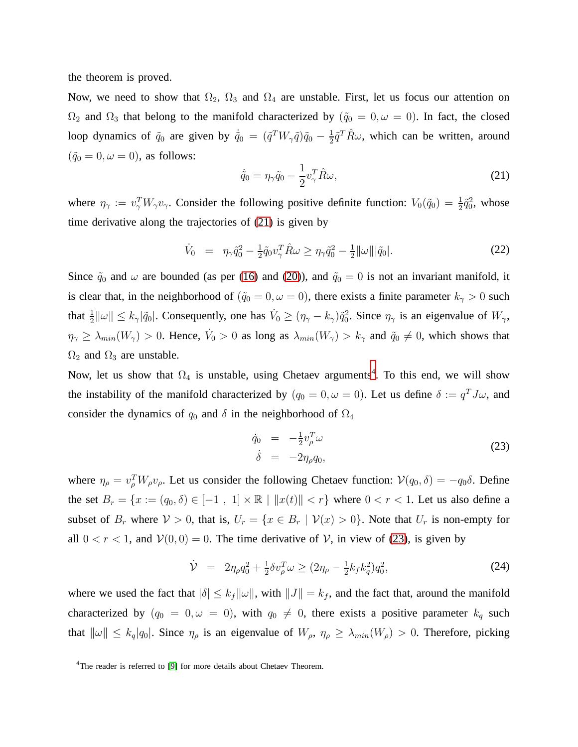the theorem is proved.

Now, we need to show that  $\Omega_2$ ,  $\Omega_3$  and  $\Omega_4$  are unstable. First, let us focus our attention on  $Ω_2$  and  $Ω_3$  that belong to the manifold characterized by  $(φ_0 = 0, ω = 0)$ . In fact, the closed loop dynamics of  $\tilde{q}_0$  are given by  $\dot{\tilde{q}}_0 = (\tilde{q}^T W_\gamma \tilde{q}) \tilde{q}_0 - \frac{1}{2}$  $\frac{1}{2}\tilde{q}^T \hat{R}\omega$ , which can be written, around  $({\tilde q}_0 = 0, \omega = 0)$ , as follows:

<span id="page-9-0"></span>
$$
\dot{\tilde{q}}_0 = \eta_\gamma \tilde{q}_0 - \frac{1}{2} v_\gamma^T \hat{R} \omega,\tag{21}
$$

where  $\eta_{\gamma} := v_{\gamma}^T W_{\gamma} v_{\gamma}$ . Consider the following positive definite function:  $V_0(\tilde{q}_0) = \frac{1}{2} \tilde{q}_0^2$ , whose time derivative along the trajectories of [\(21\)](#page-9-0) is given by

$$
\dot{V}_0 = \eta_\gamma \tilde{q}_0^2 - \frac{1}{2} \tilde{q}_0 v_\gamma^T \hat{R} \omega \ge \eta_\gamma \tilde{q}_0^2 - \frac{1}{2} ||\omega|| |\tilde{q}_0|.
$$
\n(22)

Since  $\tilde{q}_0$  and  $\omega$  are bounded (as per [\(16\)](#page-7-2) and [\(20\)](#page-8-1)), and  $\tilde{q}_0 = 0$  is not an invariant manifold, it is clear that, in the neighborhood of  $(\tilde{q}_0 = 0, \omega = 0)$ , there exists a finite parameter  $k_{\gamma} > 0$  such that  $\frac{1}{2} ||\omega|| \le k_\gamma |\tilde{q}_0|$ . Consequently, one has  $\dot{V}_0 \ge (\eta_\gamma - k_\gamma)\tilde{q}_0^2$ . Since  $\eta_\gamma$  is an eigenvalue of  $W_\gamma$ ,  $\eta_{\gamma} \ge \lambda_{min}(W_{\gamma}) > 0$ . Hence,  $\dot{V}_0 > 0$  as long as  $\lambda_{min}(W_{\gamma}) > k_{\gamma}$  and  $\tilde{q}_0 \ne 0$ , which shows that  $\Omega_2$  and  $\Omega_3$  are unstable.

Now, let us show that  $\Omega_4$  $\Omega_4$  is unstable, using Chetaev arguments<sup>4</sup>. To this end, we will show the instability of the manifold characterized by  $(q_0 = 0, \omega = 0)$ . Let us define  $\delta := q^T J \omega$ , and consider the dynamics of  $q_0$  and  $\delta$  in the neighborhood of  $\Omega_4$ 

<span id="page-9-2"></span>
$$
\dot{q}_0 = -\frac{1}{2}v_\rho^T \omega
$$
\n
$$
\dot{\delta} = -2\eta_\rho q_0,
$$
\n(23)

where  $\eta_{\rho} = v_{\rho}^T W_{\rho} v_{\rho}$ . Let us consider the following Chetaev function:  $\mathcal{V}(q_0, \delta) = -q_0 \delta$ . Define the set  $B_r = \{x := (q_0, \delta) \in [-1, 1] \times \mathbb{R} \mid ||x(t)|| < r\}$  where  $0 < r < 1$ . Let us also define a subset of  $B_r$  where  $V > 0$ , that is,  $U_r = \{x \in B_r \mid V(x) > 0\}$ . Note that  $U_r$  is non-empty for all  $0 < r < 1$ , and  $V(0, 0) = 0$ . The time derivative of V, in view of [\(23\)](#page-9-2), is given by

$$
\dot{\mathcal{V}} = 2\eta_{\rho}q_0^2 + \frac{1}{2}\delta v_{\rho}^T \omega \ge (2\eta_{\rho} - \frac{1}{2}k_f k_q^2)q_0^2,\tag{24}
$$

where we used the fact that  $|\delta| \leq k_f ||\omega||$ , with  $||J|| = k_f$ , and the fact that, around the manifold characterized by  $(q_0 = 0, \omega = 0)$ , with  $q_0 \neq 0$ , there exists a positive parameter  $k_q$  such that  $\|\omega\| \le k_q |q_0|$ . Since  $\eta_\rho$  is an eigenvalue of  $W_\rho$ ,  $\eta_\rho \ge \lambda_{min}(W_\rho) > 0$ . Therefore, picking

<span id="page-9-1"></span><sup>&</sup>lt;sup>4</sup>The reader is referred to [\[9\]](#page-14-10) for more details about Chetaev Theorem.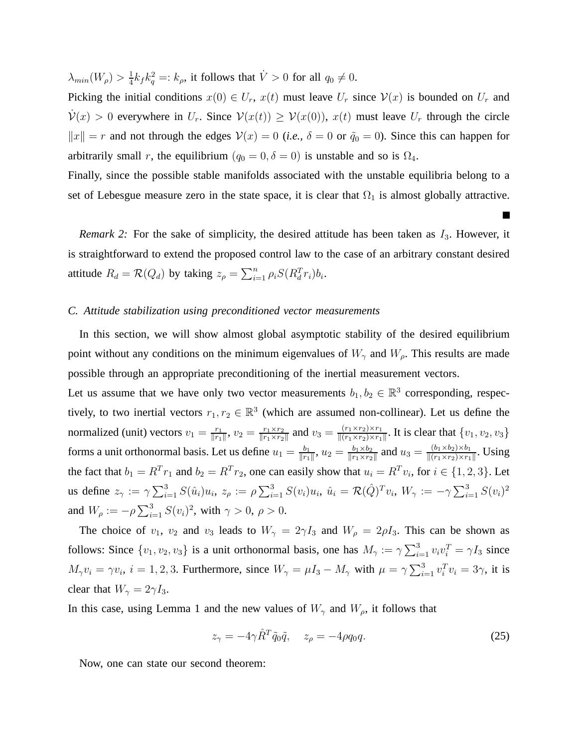$\lambda_{min}(W_{\rho})>\frac{1}{4}$  $\frac{1}{4}k_f k_q^2 =: k_\rho$ , it follows that  $\dot{V} > 0$  for all  $q_0 \neq 0$ .

Picking the initial conditions  $x(0) \in U_r$ ,  $x(t)$  must leave  $U_r$  since  $V(x)$  is bounded on  $U_r$  and  $\mathcal{V}(x) > 0$  everywhere in  $U_r$ . Since  $\mathcal{V}(x(t)) \geq \mathcal{V}(x(0))$ ,  $x(t)$  must leave  $U_r$  through the circle  $||x|| = r$  and not through the edges  $V(x) = 0$  (*i.e.*,  $\delta = 0$  or  $\tilde{q}_0 = 0$ ). Since this can happen for arbitrarily small r, the equilibrium ( $q_0 = 0, \delta = 0$ ) is unstable and so is  $\Omega_4$ .

Finally, since the possible stable manifolds associated with the unstable equilibria belong to a set of Lebesgue measure zero in the state space, it is clear that  $\Omega_1$  is almost globally attractive.

L.

*Remark 2:* For the sake of simplicity, the desired attitude has been taken as  $I_3$ . However, it is straightforward to extend the proposed control law to the case of an arbitrary constant desired attitude  $R_d = \mathcal{R}(Q_d)$  by taking  $z_\rho = \sum_{i=1}^n \rho_i S(R_d^T r_i) b_i$ .

### *C. Attitude stabilization using preconditioned vector measurements*

In this section, we will show almost global asymptotic stability of the desired equilibrium point without any conditions on the minimum eigenvalues of  $W_{\gamma}$  and  $W_{\rho}$ . This results are made possible through an appropriate preconditioning of the inertial measurement vectors.

Let us assume that we have only two vector measurements  $b_1, b_2 \in \mathbb{R}^3$  corresponding, respectively, to two inertial vectors  $r_1, r_2 \in \mathbb{R}^3$  (which are assumed non-collinear). Let us define the normalized (unit) vectors  $v_1 = \frac{r_1}{\|r_1\|}$  $\frac{r_1}{\|r_1\|}$ ,  $v_2 = \frac{r_1 \times r_2}{\|r_1 \times r_2\|}$  $\frac{r_1 \times r_2}{\|r_1 \times r_2\|}$  and  $v_3 = \frac{(r_1 \times r_2) \times r_1}{\|(r_1 \times r_2) \times r_1\|}$  $\frac{(r_1 \times r_2) \times r_1}{\|(r_1 \times r_2) \times r_1\|}$ . It is clear that  $\{v_1, v_2, v_3\}$ forms a unit orthonormal basis. Let us define  $u_1 = \frac{b_1}{||r_1||}$  $\frac{b_1}{\|r_1\|}, u_2 = \frac{b_1 \times b_2}{\|r_1 \times r_2\|}$  $\frac{b_1\times b_2}{\|r_1\times r_2\|}$  and  $u_3=\frac{(b_1\times b_2)\times b_1}{\|(r_1\times r_2)\times r_1\|}$  $\frac{(b_1 \times b_2) \times b_1}{\|(r_1 \times r_2) \times r_1\|}$ . Using the fact that  $b_1 = R^T r_1$  and  $b_2 = R^T r_2$ , one can easily show that  $u_i = R^T v_i$ , for  $i \in \{1, 2, 3\}$ . Let us define  $z_\gamma := \gamma \sum_{i=1}^3 S(\hat u_i) u_i, \ z_\rho := \rho \sum_{i=1}^3 S(v_i) u_i, \ \hat u_i = \mathcal{R}(\hat Q)^T v_i, \ W_\gamma := -\gamma \sum_{i=1}^3 S(v_i)^2$ and  $W_{\rho} := -\rho \sum_{i=1}^{3} S(v_i)^2$ , with  $\gamma > 0$ ,  $\rho > 0$ .

The choice of  $v_1$ ,  $v_2$  and  $v_3$  leads to  $W_\gamma = 2\gamma I_3$  and  $W_\rho = 2\rho I_3$ . This can be shown as follows: Since  $\{v_1, v_2, v_3\}$  is a unit orthonormal basis, one has  $M_\gamma := \gamma \sum_{i=1}^3 v_i v_i^T = \gamma I_3$  since  $M_{\gamma}v_i = \gamma v_i$ ,  $i = 1, 2, 3$ . Furthermore, since  $W_{\gamma} = \mu I_3 - M_{\gamma}$  with  $\mu = \gamma \sum_{i=1}^{3} v_i^T v_i = 3\gamma$ , it is clear that  $W_{\gamma} = 2\gamma I_3$ .

In this case, using Lemma 1 and the new values of  $W_{\gamma}$  and  $W_{\rho}$ , it follows that

<span id="page-10-0"></span>
$$
z_{\gamma} = -4\gamma \hat{R}^T \tilde{q}_0 \tilde{q}, \quad z_{\rho} = -4\rho q_0 q. \tag{25}
$$

Now, one can state our second theorem: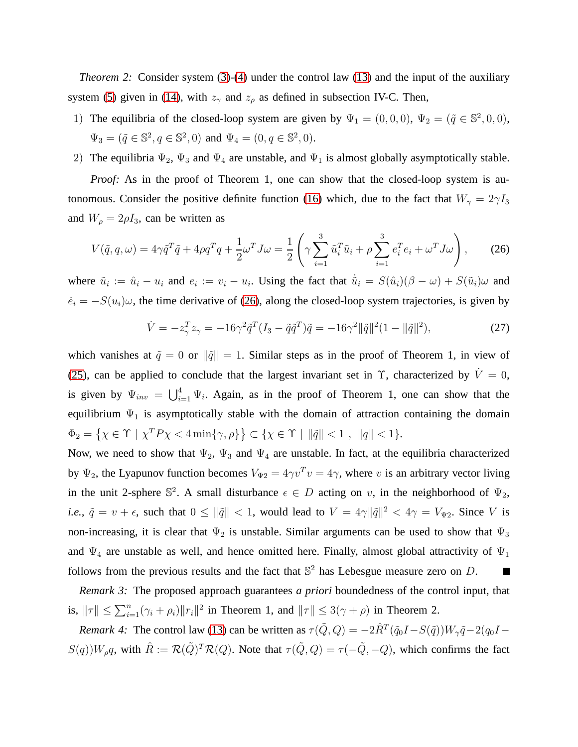*Theorem 2:* Consider system [\(3\)](#page-3-1)-[\(4\)](#page-3-2) under the control law [\(13\)](#page-6-2) and the input of the auxiliary system [\(5\)](#page-4-0) given in [\(14\)](#page-6-3), with  $z_{\gamma}$  and  $z_{\rho}$  as defined in subsection IV-C. Then,

- 1) The equilibria of the closed-loop system are given by  $\Psi_1 = (0,0,0)$ ,  $\Psi_2 = (\tilde{q} \in \mathbb{S}^2,0,0)$ ,  $\Psi_3 = (\tilde{q} \in \mathbb{S}^2, q \in \mathbb{S}^2, 0)$  and  $\Psi_4 = (0, q \in \mathbb{S}^2, 0)$ .
- 2) The equilibria  $\Psi_2$ ,  $\Psi_3$  and  $\Psi_4$  are unstable, and  $\Psi_1$  is almost globally asymptotically stable.

*Proof:* As in the proof of Theorem 1, one can show that the closed-loop system is au-tonomous. Consider the positive definite function [\(16\)](#page-7-2) which, due to the fact that  $W_{\gamma} = 2\gamma I_3$ and  $W_{\rho} = 2\rho I_3$ , can be written as

<span id="page-11-0"></span>
$$
V(\tilde{q}, q, \omega) = 4\gamma \tilde{q}^T \tilde{q} + 4\rho q^T q + \frac{1}{2} \omega^T J \omega = \frac{1}{2} \left( \gamma \sum_{i=1}^3 \tilde{u}_i^T \tilde{u}_i + \rho \sum_{i=1}^3 e_i^T e_i + \omega^T J \omega \right), \quad (26)
$$

where  $\tilde{u}_i := \hat{u}_i - u_i$  and  $e_i := v_i - u_i$ . Using the fact that  $\dot{\tilde{u}}_i = S(\hat{u}_i)(\beta - \omega) + S(\tilde{u}_i)\omega$  and  $\dot{e}_i = -S(u_i)\omega$ , the time derivative of [\(26\)](#page-11-0), along the closed-loop system trajectories, is given by

$$
\dot{V} = -z_{\gamma}^{T} z_{\gamma} = -16\gamma^{2} \tilde{q}^{T} (I_{3} - \tilde{q}\tilde{q}^{T}) \tilde{q} = -16\gamma^{2} ||\tilde{q}||^{2} (1 - ||\tilde{q}||^{2}),
$$
\n(27)

which vanishes at  $\tilde{q} = 0$  or  $\|\tilde{q}\| = 1$ . Similar steps as in the proof of Theorem 1, in view of [\(25\)](#page-10-0), can be applied to conclude that the largest invariant set in  $\Upsilon$ , characterized by  $\dot{V} = 0$ , is given by  $\Psi_{inv} = \bigcup_{i=1}^{4} \Psi_i$ . Again, as in the proof of Theorem 1, one can show that the equilibrium  $\Psi_1$  is asymptotically stable with the domain of attraction containing the domain  $\Phi_2 = \{ \chi \in \Upsilon \mid \chi^T P \chi < 4 \min\{\gamma, \rho\} \} \subset \{ \chi \in \Upsilon \mid \|\tilde{q}\| < 1 , \|q\| < 1 \}.$ 

Now, we need to show that  $\Psi_2$ ,  $\Psi_3$  and  $\Psi_4$  are unstable. In fact, at the equilibria characterized by  $\Psi_2$ , the Lyapunov function becomes  $V_{\Psi_2} = 4\gamma v^T v = 4\gamma$ , where v is an arbitrary vector living in the unit 2-sphere  $\mathbb{S}^2$ . A small disturbance  $\epsilon \in D$  acting on v, in the neighborhood of  $\Psi_2$ , *i.e.,*  $\tilde{q} = v + \epsilon$ , such that  $0 \le ||\tilde{q}|| < 1$ , would lead to  $V = 4\gamma ||\tilde{q}||^2 < 4\gamma = V_{\Psi 2}$ . Since V is non-increasing, it is clear that  $\Psi_2$  is unstable. Similar arguments can be used to show that  $\Psi_3$ and  $\Psi_4$  are unstable as well, and hence omitted here. Finally, almost global attractivity of  $\Psi_1$ follows from the previous results and the fact that  $\mathbb{S}^2$  has Lebesgue measure zero on D. П

*Remark 3:* The proposed approach guarantees *a priori* boundedness of the control input, that is,  $\|\tau\| \le \sum_{i=1}^n (\gamma_i + \rho_i) \|r_i\|^2$  in Theorem 1, and  $\|\tau\| \le 3(\gamma + \rho)$  in Theorem 2.

*Remark 4:* The control law [\(13\)](#page-6-2) can be written as  $\tau(\tilde{Q}, Q) = -2\hat{R}^T(\tilde{q}_0I - S(\tilde{q}))W_{\gamma}\tilde{q} - 2(q_0I - Q)$  $S(q)$ ) $W_\rho q$ , with  $\hat{R} := \mathcal{R}(\tilde{Q})^T \mathcal{R}(Q)$ . Note that  $\tau(\tilde{Q}, Q) = \tau(-\tilde{Q}, -Q)$ , which confirms the fact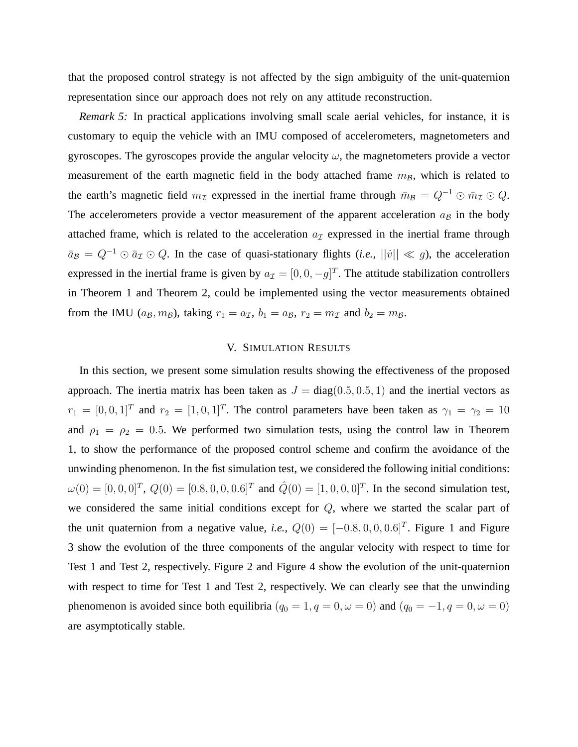that the proposed control strategy is not affected by the sign ambiguity of the unit-quaternion representation since our approach does not rely on any attitude reconstruction.

*Remark 5:* In practical applications involving small scale aerial vehicles, for instance, it is customary to equip the vehicle with an IMU composed of accelerometers, magnetometers and gyroscopes. The gyroscopes provide the angular velocity  $\omega$ , the magnetometers provide a vector measurement of the earth magnetic field in the body attached frame  $m_B$ , which is related to the earth's magnetic field  $m<sub>\mathcal{I}</sub>$  expressed in the inertial frame through  $\bar{m}_B = Q^{-1} \odot \bar{m}_\mathcal{I} \odot Q$ . The accelerometers provide a vector measurement of the apparent acceleration  $a_{\mathcal{B}}$  in the body attached frame, which is related to the acceleration  $a<sub>\mathcal{I}</sub>$  expressed in the inertial frame through  $\bar{a}_B = Q^{-1} \odot \bar{a}_I \odot Q$ . In the case of quasi-stationary flights (*i.e.*,  $||\dot{v}|| \ll g$ ), the acceleration expressed in the inertial frame is given by  $a_{\mathcal{I}} = [0, 0, -g]^T$ . The attitude stabilization controllers in Theorem 1 and Theorem 2, could be implemented using the vector measurements obtained from the IMU ( $a_B$ ,  $m_B$ ), taking  $r_1 = a_{\mathcal{I}}$ ,  $b_1 = a_B$ ,  $r_2 = m_{\mathcal{I}}$  and  $b_2 = m_B$ .

## V. SIMULATION RESULTS

In this section, we present some simulation results showing the effectiveness of the proposed approach. The inertia matrix has been taken as  $J = diag(0.5, 0.5, 1)$  and the inertial vectors as  $r_1 = [0, 0, 1]^T$  and  $r_2 = [1, 0, 1]^T$ . The control parameters have been taken as  $\gamma_1 = \gamma_2 = 10$ and  $\rho_1 = \rho_2 = 0.5$ . We performed two simulation tests, using the control law in Theorem 1, to show the performance of the proposed control scheme and confirm the avoidance of the unwinding phenomenon. In the fist simulation test, we considered the following initial conditions:  $\omega(0) = [0, 0, 0]^T$ ,  $Q(0) = [0.8, 0, 0, 0.6]^T$  and  $\hat{Q}(0) = [1, 0, 0, 0]^T$ . In the second simulation test, we considered the same initial conditions except for Q, where we started the scalar part of the unit quaternion from a negative value, *i.e.*,  $Q(0) = [-0.8, 0, 0, 0.6]^T$ . Figure 1 and Figure 3 show the evolution of the three components of the angular velocity with respect to time for Test 1 and Test 2, respectively. Figure 2 and Figure 4 show the evolution of the unit-quaternion with respect to time for Test 1 and Test 2, respectively. We can clearly see that the unwinding phenomenon is avoided since both equilibria ( $q_0 = 1, q = 0, \omega = 0$ ) and ( $q_0 = -1, q = 0, \omega = 0$ ) are asymptotically stable.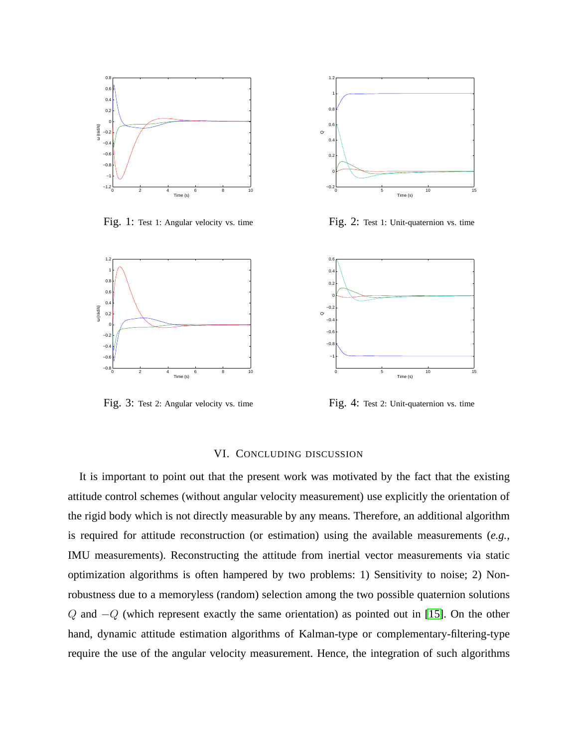

Fig. 1: Test 1: Angular velocity vs. time



Fig. 2: Test 1: Unit-quaternion vs. time



Fig. 3: Test 2: Angular velocity vs. time

Fig. 4: Test 2: Unit-quaternion vs. time

## VI. CONCLUDING DISCUSSION

It is important to point out that the present work was motivated by the fact that the existing attitude control schemes (without angular velocity measurement) use explicitly the orientation of the rigid body which is not directly measurable by any means. Therefore, an additional algorithm is required for attitude reconstruction (or estimation) using the available measurements (*e.g.,* IMU measurements). Reconstructing the attitude from inertial vector measurements via static optimization algorithms is often hampered by two problems: 1) Sensitivity to noise; 2) Nonrobustness due to a memoryless (random) selection among the two possible quaternion solutions Q and  $-Q$  (which represent exactly the same orientation) as pointed out in [\[15\]](#page-15-13). On the other hand, dynamic attitude estimation algorithms of Kalman-type or complementary-filtering-type require the use of the angular velocity measurement. Hence, the integration of such algorithms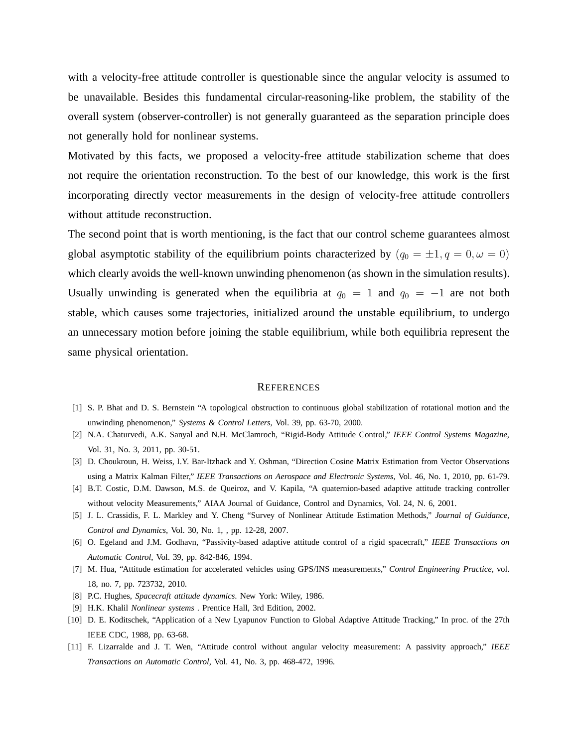with a velocity-free attitude controller is questionable since the angular velocity is assumed to be unavailable. Besides this fundamental circular-reasoning-like problem, the stability of the overall system (observer-controller) is not generally guaranteed as the separation principle does not generally hold for nonlinear systems.

Motivated by this facts, we proposed a velocity-free attitude stabilization scheme that does not require the orientation reconstruction. To the best of our knowledge, this work is the first incorporating directly vector measurements in the design of velocity-free attitude controllers without attitude reconstruction.

The second point that is worth mentioning, is the fact that our control scheme guarantees almost global asymptotic stability of the equilibrium points characterized by  $(q_0 = \pm 1, q = 0, \omega = 0)$ which clearly avoids the well-known unwinding phenomenon (as shown in the simulation results). Usually unwinding is generated when the equilibria at  $q_0 = 1$  and  $q_0 = -1$  are not both stable, which causes some trajectories, initialized around the unstable equilibrium, to undergo an unnecessary motion before joining the stable equilibrium, while both equilibria represent the same physical orientation.

#### **REFERENCES**

- <span id="page-14-8"></span><span id="page-14-0"></span>[1] S. P. Bhat and D. S. Bernstein "A topological obstruction to continuous global stabilization of rotational motion and the unwinding phenomenon," *Systems & Control Letters*, Vol. 39, pp. 63-70, 2000.
- <span id="page-14-4"></span>[2] N.A. Chaturvedi, A.K. Sanyal and N.H. McClamroch, "Rigid-Body Attitude Control," *IEEE Control Systems Magazine*, Vol. 31, No. 3, 2011, pp. 30-51.
- <span id="page-14-2"></span>[3] D. Choukroun, H. Weiss, I.Y. Bar-Itzhack and Y. Oshman, "Direction Cosine Matrix Estimation from Vector Observations using a Matrix Kalman Filter," *IEEE Transactions on Aerospace and Electronic Systems*, Vol. 46, No. 1, 2010, pp. 61-79.
- <span id="page-14-5"></span>[4] B.T. Costic, D.M. Dawson, M.S. de Queiroz, and V. Kapila, "A quaternion-based adaptive attitude tracking controller without velocity Measurements," AIAA Journal of Guidance, Control and Dynamics, Vol. 24, N. 6, 2001.
- <span id="page-14-3"></span>[5] J. L. Crassidis, F. L. Markley and Y. Cheng "Survey of Nonlinear Attitude Estimation Methods," *Journal of Guidance, Control and Dynamics*, Vol. 30, No. 1, , pp. 12-28, 2007.
- <span id="page-14-6"></span>[6] O. Egeland and J.M. Godhavn, "Passivity-based adaptive attitude control of a rigid spacecraft," *IEEE Transactions on Automatic Control*, Vol. 39, pp. 842-846, 1994.
- <span id="page-14-7"></span>[7] M. Hua, "Attitude estimation for accelerated vehicles using GPS/INS measurements," *Control Engineering Practice*, vol. 18, no. 7, pp. 723732, 2010.
- <span id="page-14-10"></span>[8] P.C. Hughes, *Spacecraft attitude dynamics*. New York: Wiley, 1986.
- <span id="page-14-9"></span>[9] H.K. Khalil *Nonlinear systems* . Prentice Hall, 3rd Edition, 2002.
- <span id="page-14-1"></span>[10] D. E. Koditschek, "Application of a New Lyapunov Function to Global Adaptive Attitude Tracking," In proc. of the 27th IEEE CDC, 1988, pp. 63-68.
- [11] F. Lizarralde and J. T. Wen, "Attitude control without angular velocity measurement: A passivity approach," *IEEE Transactions on Automatic Control*, Vol. 41, No. 3, pp. 468-472, 1996.